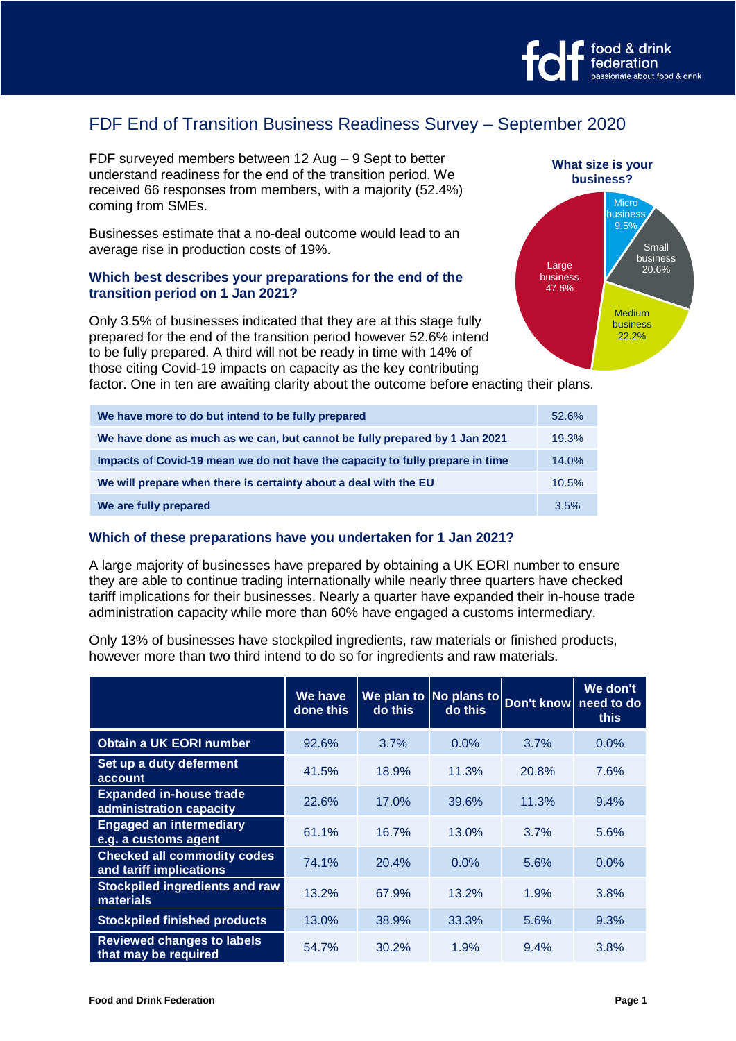

# FDF End of Transition Business Readiness Survey – September 2020

FDF surveyed members between 12 Aug – 9 Sept to better understand readiness for the end of the transition period. We received 66 responses from members, with a majority (52.4%) coming from SMEs.

Businesses estimate that a no-deal outcome would lead to an average rise in production costs of 19%.

## **Which best describes your preparations for the end of the transition period on 1 Jan 2021?**

Only 3.5% of businesses indicated that they are at this stage fully prepared for the end of the transition period however 52.6% intend to be fully prepared. A third will not be ready in time with 14% of those citing Covid-19 impacts on capacity as the key contributing

**Micro business**  $9.5$ Small business 20.6% Medium business 22.2% Large business 47.6% **What size is your business?**

factor. One in ten are awaiting clarity about the outcome before enacting their plans.

| We have more to do but intend to be fully prepared                            | 52.6% |
|-------------------------------------------------------------------------------|-------|
| We have done as much as we can, but cannot be fully prepared by 1 Jan 2021    | 19.3% |
| Impacts of Covid-19 mean we do not have the capacity to fully prepare in time | 14.0% |
| We will prepare when there is certainty about a deal with the EU              | 10.5% |
| We are fully prepared                                                         | 3.5%  |

#### **Which of these preparations have you undertaken for 1 Jan 2021?**

A large majority of businesses have prepared by obtaining a UK EORI number to ensure they are able to continue trading internationally while nearly three quarters have checked tariff implications for their businesses. Nearly a quarter have expanded their in-house trade administration capacity while more than 60% have engaged a customs intermediary.

Only 13% of businesses have stockpiled ingredients, raw materials or finished products, however more than two third intend to do so for ingredients and raw materials.

|                                                               | We have<br>done this | do this | We plan to $ No$ plans to<br>do this | Don't know need to do | We don't<br>this |
|---------------------------------------------------------------|----------------------|---------|--------------------------------------|-----------------------|------------------|
| <b>Obtain a UK EORI number</b>                                | 92.6%                | 3.7%    | 0.0%                                 | 3.7%                  | 0.0%             |
| Set up a duty deferment<br>account                            | 41.5%                | 18.9%   | 11.3%                                | 20.8%                 | 7.6%             |
| <b>Expanded in-house trade</b><br>administration capacity     | 22.6%                | 17.0%   | 39.6%                                | 11.3%                 | 9.4%             |
| <b>Engaged an intermediary</b><br>e.g. a customs agent        | 61.1%                | 16.7%   | 13.0%                                | 3.7%                  | 5.6%             |
| <b>Checked all commodity codes</b><br>and tariff implications | 74.1%                | 20.4%   | $0.0\%$                              | 5.6%                  | 0.0%             |
| Stockpiled ingredients and raw<br>materials                   | 13.2%                | 67.9%   | 13.2%                                | 1.9%                  | 3.8%             |
| <b>Stockpiled finished products</b>                           | 13.0%                | 38.9%   | 33.3%                                | 5.6%                  | 9.3%             |
| <b>Reviewed changes to labels</b><br>that may be required     | 54.7%                | 30.2%   | 1.9%                                 | $9.4\%$               | 3.8%             |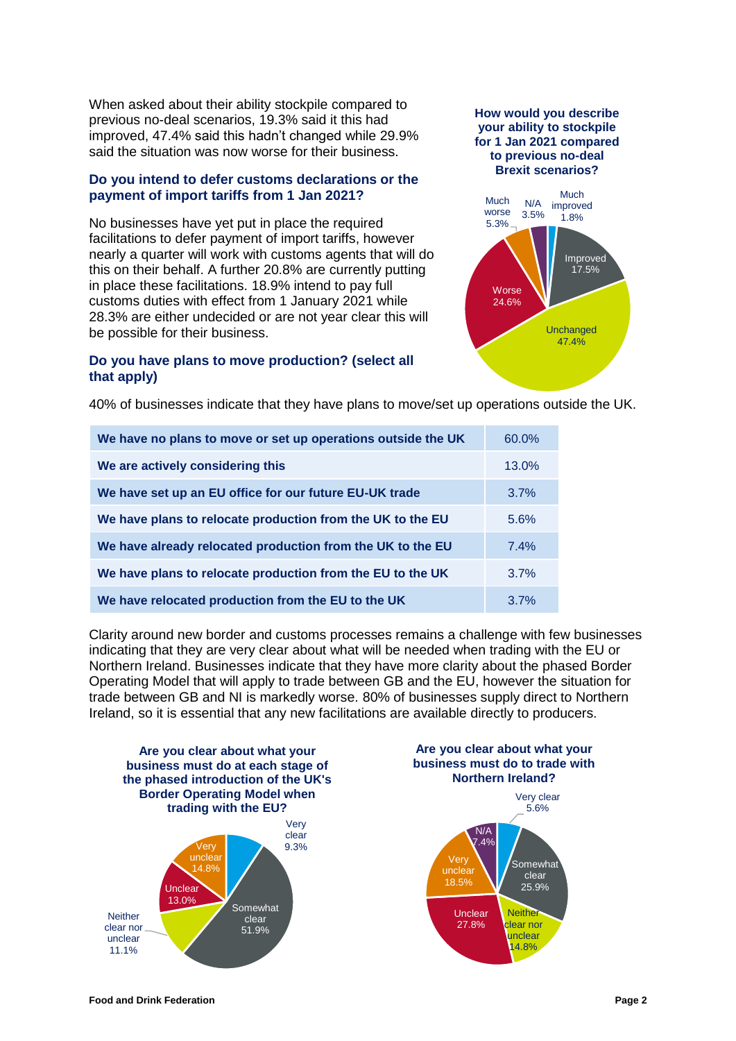When asked about their ability stockpile compared to previous no-deal scenarios, 19.3% said it this had improved, 47.4% said this hadn't changed while 29.9% said the situation was now worse for their business.

## **Do you intend to defer customs declarations or the payment of import tariffs from 1 Jan 2021?**

No businesses have yet put in place the required facilitations to defer payment of import tariffs, however nearly a quarter will work with customs agents that will do this on their behalf. A further 20.8% are currently putting in place these facilitations. 18.9% intend to pay full customs duties with effect from 1 January 2021 while 28.3% are either undecided or are not year clear this will be possible for their business.

## **Do you have plans to move production? (select all that apply)**



**Unchanged** 47.4% **Worse** 24.6%

40% of businesses indicate that they have plans to move/set up operations outside the UK.

| We have no plans to move or set up operations outside the UK | 60.0% |
|--------------------------------------------------------------|-------|
| We are actively considering this                             | 13.0% |
| We have set up an EU office for our future EU-UK trade       | 3.7%  |
| We have plans to relocate production from the UK to the EU   | 5.6%  |
| We have already relocated production from the UK to the EU   | 7.4%  |
| We have plans to relocate production from the EU to the UK   | 3.7%  |
| We have relocated production from the EU to the UK           | 3.7%  |

Clarity around new border and customs processes remains a challenge with few businesses indicating that they are very clear about what will be needed when trading with the EU or Northern Ireland. Businesses indicate that they have more clarity about the phased Border Operating Model that will apply to trade between GB and the EU, however the situation for trade between GB and NI is markedly worse. 80% of businesses supply direct to Northern Ireland, so it is essential that any new facilitations are available directly to producers.